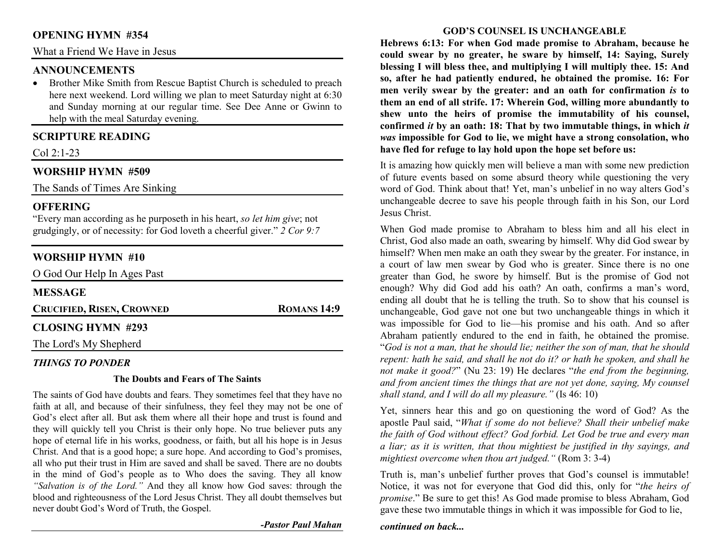# **OPENING HYMN #354**

What a Friend We Have in Jesus

### **ANNOUNCEMENTS**

 Brother Mike Smith from Rescue Baptist Church is scheduled to preach •here next weekend. Lord willing we plan to meet Saturday night at 6:30 and Sunday morning at our regular time. See Dee Anne or Gwinn to help with the meal Saturday evening.

# **SCRIPTURE READING**

Col 2:1-23

### **WORSHIP HYMN #509**

The Sands of Times Are Sinking

### **OFFERING**

 "Every man according as he purposeth in his heart, *so let him give*; not grudgingly, or of necessity: for God loveth a cheerful giver." *2 Cor 9:7*

# **WORSHIP HYMN #10**

| O God Our Help In Ages Past      |                    |  |
|----------------------------------|--------------------|--|
| <b>MESSAGE</b>                   |                    |  |
| <b>CRUCIFIED, RISEN, CROWNED</b> | <b>ROMANS 14:9</b> |  |
| <b>CLOSING HYMN #293</b>         |                    |  |
| The Lord's My Shepherd           |                    |  |

## *THINGS TO PONDER*

### **The Doubts and Fears of The Saints**

The saints of God have doubts and fears. They sometimes feel that they have no faith at all, and because of their sinfulness, they feel they may not be one of God's elect after all. But ask them where all their hope and trust is found and they will quickly tell you Christ is their only hope. No true believer puts any hope of eternal life in his works, goodness, or faith, but all his hope is in Jesus Christ. And that is a good hope; a sure hope. And according to God's promises, all who put their trust in Him are saved and shall be saved. There are no doubts in the mind of God's people as to Who does the saving. They all know *"Salvation is of the Lord."* And they all know how God saves: through the blood and righteousness of the Lord Jesus Christ. They all doubt themselves but never doubt God's Word of Truth, the Gospel.

*-Pastor Paul Mahan*

#### **GOD'S COUNSEL IS UNCHANGEABLE**

**Hebrews 6:13: For when God made promise to Abraham, because he could swear by no greater, he sware by himself, 14: Saying, Surely blessing I will bless thee, and multiplying I will multiply thee. 15: And so, after he had patiently endured, he obtained the promise. 16: For men verily swear by the greater: and an oath for confirmation** *is* **to them an end of all strife. 17: Wherein God, willing more abundantly to shew unto the heirs of promise the immutability of his counsel, confirmed** *it* **by an oath: 18: That by two immutable things, in which** *it was* **impossible for God to lie, we might have a strong consolation, who have fled for refuge to lay hold upon the hope set before us:** 

It is amazing how quickly men will believe a man with some new prediction of future events based on some absurd theory while questioning the very word of God. Think about that! Yet, man's unbelief in no way alters God's unchangeable decree to save his people through faith in his Son, our Lord Jesus Christ.

When God made promise to Abraham to bless him and all his elect in Christ, God also made an oath, swearing by himself. Why did God swear by himself? When men make an oath they swear by the greater. For instance, in a court of law men swear by God who is greater. Since there is no one greater than God, he swore by himself. But is the promise of God not enough? Why did God add his oath? An oath, confirms a man's word, ending all doubt that he is telling the truth. So to show that his counsel is unchangeable, God gave not one but two unchangeable things in which it was impossible for God to lie—his promise and his oath. And so after Abraham patiently endured to the end in faith, he obtained the promise. "*God is not a man, that he should lie; neither the son of man, that he should repent: hath he said, and shall he not do it? or hath he spoken, and shall he not make it good?*" (Nu 23: 19) He declares "*the end from the beginning, and from ancient times the things that are not yet done, saying, My counsel shall stand, and I will do all my pleasure."* (Is 46: 10)

Yet, sinners hear this and go on questioning the word of God? As the apostle Paul said, "*What if some do not believe? Shall their unbelief make the faith of God without effect? God forbid. Let God be true and every man a liar; as it is written, that thou mightiest be justified in thy sayings, and mightiest overcome when thou art judged."* (Rom 3: 3-4)

Truth is, man's unbelief further proves that God's counsel is immutable! Notice, it was not for everyone that God did this, only for "*the heirs of promise*." Be sure to get this! As God made promise to bless Abraham, God gave these two immutable things in which it was impossible for God to lie,

*continued on back...*